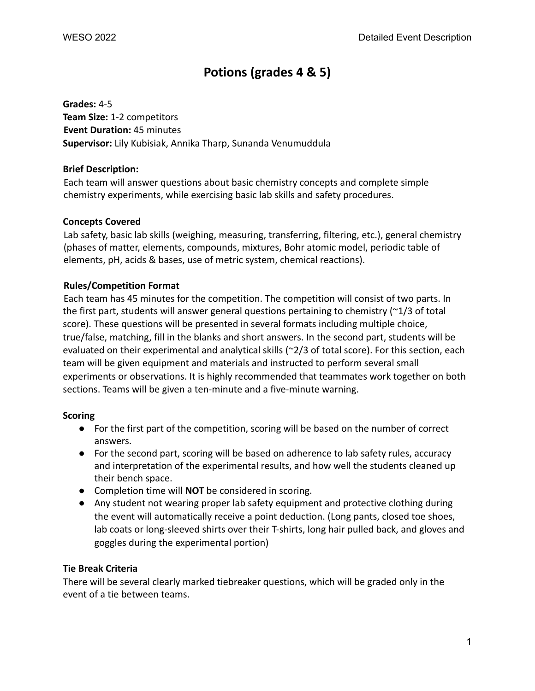# **Potions (grades 4 & 5)**

**Grades:** 4-5 **Team Size:** 1-2 competitors **Event Duration:** 45 minutes **Supervisor:** Lily Kubisiak, Annika Tharp, Sunanda Venumuddula

#### **Brief Description:**

Each team will answer questions about basic chemistry concepts and complete simple chemistry experiments, while exercising basic lab skills and safety procedures.

#### **Concepts Covered**

Lab safety, basic lab skills (weighing, measuring, transferring, filtering, etc.), general chemistry (phases of matter, elements, compounds, mixtures, Bohr atomic model, periodic table of elements, pH, acids & bases, use of metric system, chemical reactions).

#### **Rules/Competition Format**

Each team has 45 minutes for the competition. The competition will consist of two parts. In the first part, students will answer general questions pertaining to chemistry (~1/3 of total score). These questions will be presented in several formats including multiple choice, true/false, matching, fill in the blanks and short answers. In the second part, students will be evaluated on their experimental and analytical skills (~2/3 of total score). For this section, each team will be given equipment and materials and instructed to perform several small experiments or observations. It is highly recommended that teammates work together on both sections. Teams will be given a ten-minute and a five-minute warning.

## **Scoring**

- For the first part of the competition, scoring will be based on the number of correct answers.
- For the second part, scoring will be based on adherence to lab safety rules, accuracy and interpretation of the experimental results, and how well the students cleaned up their bench space.
- Completion time will **NOT** be considered in scoring.
- Any student not wearing proper lab safety equipment and protective clothing during the event will automatically receive a point deduction. (Long pants, closed toe shoes, lab coats or long-sleeved shirts over their T-shirts, long hair pulled back, and gloves and goggles during the experimental portion)

#### **Tie Break Criteria**

There will be several clearly marked tiebreaker questions, which will be graded only in the event of a tie between teams.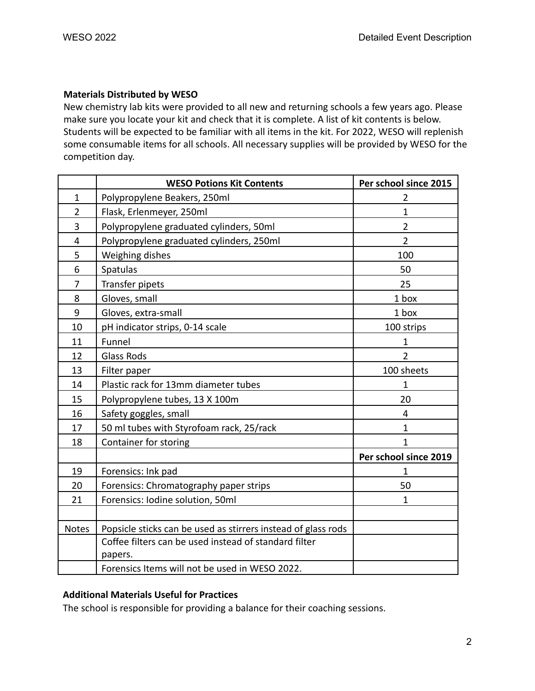#### **Materials Distributed by WESO**

New chemistry lab kits were provided to all new and returning schools a few years ago. Please make sure you locate your kit and check that it is complete. A list of kit contents is below. Students will be expected to be familiar with all items in the kit. For 2022, WESO will replenish some consumable items for all schools. All necessary supplies will be provided by WESO for the competition day.

|                | <b>WESO Potions Kit Contents</b>                                 | Per school since 2015 |
|----------------|------------------------------------------------------------------|-----------------------|
| 1              | Polypropylene Beakers, 250ml                                     | 2                     |
| $\overline{2}$ | Flask, Erlenmeyer, 250ml                                         | $\mathbf{1}$          |
| 3              | Polypropylene graduated cylinders, 50ml                          | $\overline{2}$        |
| 4              | Polypropylene graduated cylinders, 250ml                         | $\overline{2}$        |
| 5              | Weighing dishes                                                  | 100                   |
| 6              | Spatulas                                                         | 50                    |
| 7              | Transfer pipets                                                  | 25                    |
| 8              | Gloves, small                                                    | 1 box                 |
| 9              | Gloves, extra-small                                              | 1 box                 |
| 10             | pH indicator strips, 0-14 scale                                  | 100 strips            |
| 11             | Funnel                                                           | $\mathbf{1}$          |
| 12             | <b>Glass Rods</b>                                                | $\overline{2}$        |
| 13             | Filter paper                                                     | 100 sheets            |
| 14             | Plastic rack for 13mm diameter tubes                             | 1                     |
| 15             | Polypropylene tubes, 13 X 100m                                   | 20                    |
| 16             | Safety goggles, small                                            | 4                     |
| 17             | 50 ml tubes with Styrofoam rack, 25/rack                         | $\mathbf{1}$          |
| 18             | Container for storing                                            | 1                     |
|                |                                                                  | Per school since 2019 |
| 19             | Forensics: Ink pad                                               | 1                     |
| 20             | Forensics: Chromatography paper strips                           | 50                    |
| 21             | Forensics: Iodine solution, 50ml                                 | $\mathbf{1}$          |
|                |                                                                  |                       |
| Notes          | Popsicle sticks can be used as stirrers instead of glass rods    |                       |
|                | Coffee filters can be used instead of standard filter<br>papers. |                       |
|                | Forensics Items will not be used in WESO 2022.                   |                       |

## **Additional Materials Useful for Practices**

The school is responsible for providing a balance for their coaching sessions.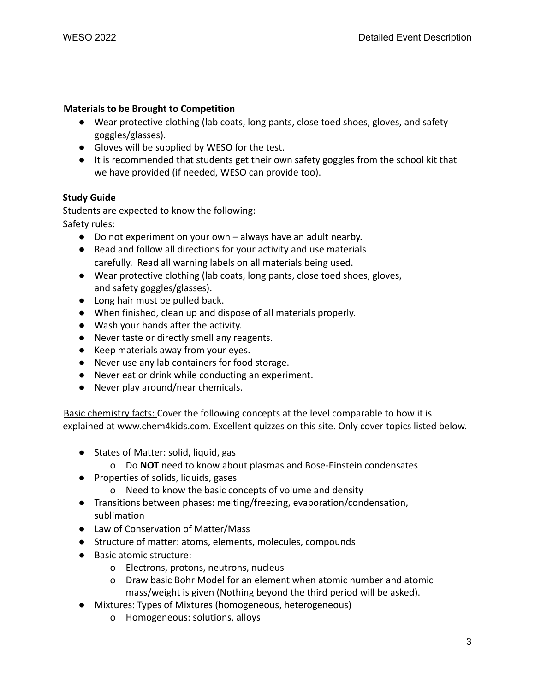#### **Materials to be Brought to Competition**

- Wear protective clothing (lab coats, long pants, close toed shoes, gloves, and safety goggles/glasses).
- Gloves will be supplied by WESO for the test.
- It is recommended that students get their own safety goggles from the school kit that we have provided (if needed, WESO can provide too).

## **Study Guide**

Students are expected to know the following: Safety rules:

- Do not experiment on your own always have an adult nearby.
- Read and follow all directions for your activity and use materials carefully. Read all warning labels on all materials being used.
- Wear protective clothing (lab coats, long pants, close toed shoes, gloves, and safety goggles/glasses).
- Long hair must be pulled back.
- When finished, clean up and dispose of all materials properly.
- Wash your hands after the activity.
- Never taste or directly smell any reagents.
- Keep materials away from your eyes.
- Never use any lab containers for food storage.
- Never eat or drink while conducting an experiment.
- Never play around/near chemicals.

Basic chemistry facts: Cover the following concepts at the level comparable to how it is explained at www.chem4kids.com. Excellent quizzes on this site. Only cover topics listed below.

- States of Matter: solid, liquid, gas
	- o Do **NOT** need to know about plasmas and Bose-Einstein condensates
- Properties of solids, liquids, gases
	- o Need to know the basic concepts of volume and density
- Transitions between phases: melting/freezing, evaporation/condensation, sublimation
- Law of Conservation of Matter/Mass
- Structure of matter: atoms, elements, molecules, compounds
- Basic atomic structure:
	- o Electrons, protons, neutrons, nucleus
	- o Draw basic Bohr Model for an element when atomic number and atomic mass/weight is given (Nothing beyond the third period will be asked).
- Mixtures: Types of Mixtures (homogeneous, heterogeneous)
	- o Homogeneous: solutions, alloys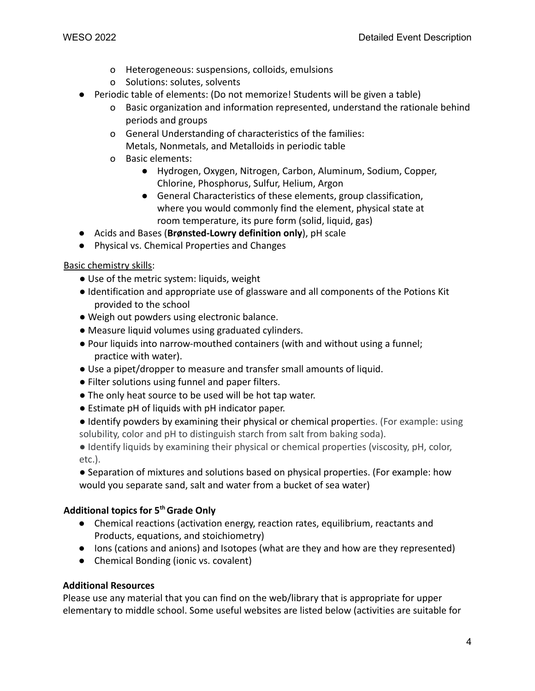- o Heterogeneous: suspensions, colloids, emulsions
- o Solutions: solutes, solvents
- Periodic table of elements: (Do not memorize! Students will be given a table)
	- o Basic organization and information represented, understand the rationale behind periods and groups
	- o General Understanding of characteristics of the families: Metals, Nonmetals, and Metalloids in periodic table
	- o Basic elements:
		- Hydrogen, Oxygen, Nitrogen, Carbon, Aluminum, Sodium, Copper, Chlorine, Phosphorus, Sulfur, Helium, Argon
		- General Characteristics of these elements, group classification, where you would commonly find the element, physical state at room temperature, its pure form (solid, liquid, gas)
- Acids and Bases (**Brønsted-Lowry definition only**), pH scale
- Physical vs. Chemical Properties and Changes

Basic chemistry skills:

- Use of the metric system: liquids, weight
- Identification and appropriate use of glassware and all components of the Potions Kit provided to the school
- Weigh out powders using electronic balance.
- Measure liquid volumes using graduated cylinders.
- Pour liquids into narrow-mouthed containers (with and without using a funnel; practice with water).
- Use a pipet/dropper to measure and transfer small amounts of liquid.
- Filter solutions using funnel and paper filters.
- The only heat source to be used will be hot tap water.
- Estimate pH of liquids with pH indicator paper.
- Identify powders by examining their physical or chemical properties. (For example: using solubility, color and pH to distinguish starch from salt from baking soda).
- Identify liquids by examining their physical or chemical properties (viscosity, pH, color, etc.).
- Separation of mixtures and solutions based on physical properties. (For example: how would you separate sand, salt and water from a bucket of sea water)

## **Additional topics for 5thGrade Only**

- Chemical reactions (activation energy, reaction rates, equilibrium, reactants and Products, equations, and stoichiometry)
- Ions (cations and anions) and Isotopes (what are they and how are they represented)
- Chemical Bonding (ionic vs. covalent)

#### **Additional Resources**

Please use any material that you can find on the web/library that is appropriate for upper elementary to middle school. Some useful websites are listed below (activities are suitable for